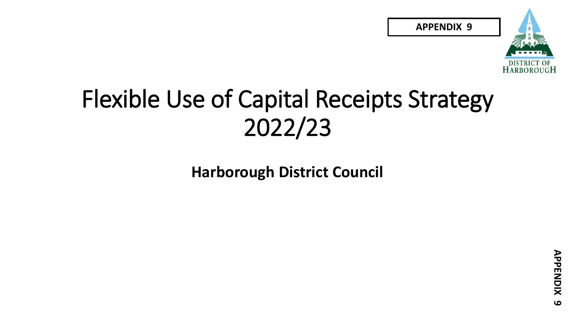**APPENDIX 9**



#### Flexible Use of Capital Receipts Strategy 2022/23

**Harborough District Council**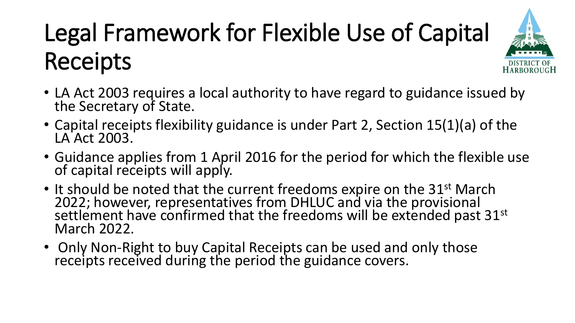# Legal Framework for Flexible Use of Capital Receipts



- LA Act 2003 requires a local authority to have regard to guidance issued by the Secretary of State.
- Capital receipts flexibility guidance is under Part 2, Section 15(1)(a) of the LA Act 2003.
- Guidance applies from 1 April 2016 for the period for which the flexible use of capital receipts will apply.
- It should be noted that the current freedoms expire on the 31<sup>st</sup> March 2022; however, representatives from DHLUC and via the provisional settlement have confirmed that the freedoms will be extended past 31st March 2022.
- Only Non-Right to buy Capital Receipts can be used and only those receipts received during the period the guidance covers.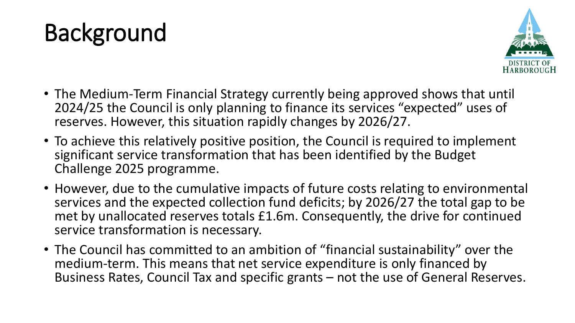



- The Medium-Term Financial Strategy currently being approved shows that until 2024/25 the Council is only planning to finance its services "expected" uses of reserves. However, this situation rapidly changes by 2026/27.
- To achieve this relatively positive position, the Council is required to implement significant service transformation that has been identified by the Budget Challenge 2025 programme.
- However, due to the cumulative impacts of future costs relating to environmental services and the expected collection fund deficits; by 2026/27 the total gap to be met by unallocated reserves totals £1.6m. Consequently, the drive for continued service transformation is necessary.
- The Council has committed to an ambition of "financial sustainability" over the medium-term. This means that net service expenditure is only financed by Business Rates, Council Tax and specific grants – not the use of General Reserves.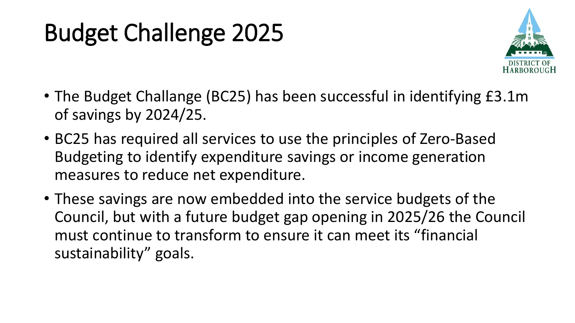### Budget Challenge 2025



- The Budget Challange (BC25) has been successful in identifying £3.1m of savings by 2024/25.
- BC25 has required all services to use the principles of Zero-Based Budgeting to identify expenditure savings or income generation measures to reduce net expenditure.
- These savings are now embedded into the service budgets of the Council, but with a future budget gap opening in 2025/26 the Council must continue to transform to ensure it can meet its "financial sustainability" goals.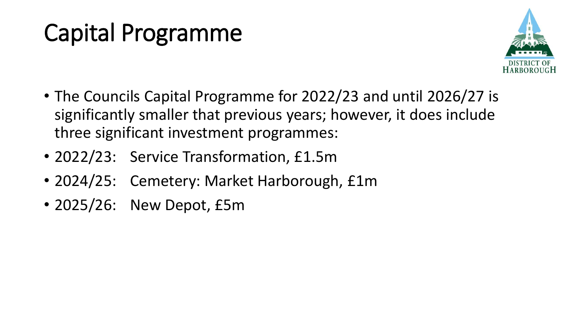### Capital Programme



- The Councils Capital Programme for 2022/23 and until 2026/27 is significantly smaller that previous years; however, it does include three significant investment programmes:
- 2022/23: Service Transformation, £1.5m
- 2024/25: Cemetery: Market Harborough, £1m
- 2025/26: New Depot, £5m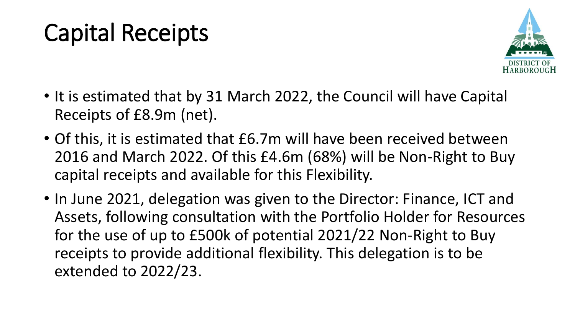#### Capital Receipts



- It is estimated that by 31 March 2022, the Council will have Capital Receipts of £8.9m (net).
- Of this, it is estimated that £6.7m will have been received between 2016 and March 2022. Of this £4.6m (68%) will be Non-Right to Buy capital receipts and available for this Flexibility.
- In June 2021, delegation was given to the Director: Finance, ICT and Assets, following consultation with the Portfolio Holder for Resources for the use of up to £500k of potential 2021/22 Non-Right to Buy receipts to provide additional flexibility. This delegation is to be extended to 2022/23.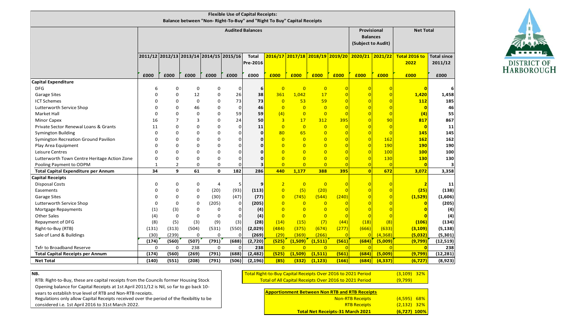| <b>Flexible Use of Capital Receipts:</b><br>Balance between "Non- Right-To-Buy" and "Right To Buy" Capital Receipts |                         |                |                                         |              |             |                          |                |                                 |                    |                  |                |                |                       |                               |
|---------------------------------------------------------------------------------------------------------------------|-------------------------|----------------|-----------------------------------------|--------------|-------------|--------------------------|----------------|---------------------------------|--------------------|------------------|----------------|----------------|-----------------------|-------------------------------|
|                                                                                                                     | <b>Audited Balances</b> |                |                                         |              |             |                          |                | Provisional<br><b>Balances</b>  |                    | <b>Net Total</b> |                |                |                       |                               |
|                                                                                                                     |                         |                |                                         |              |             |                          |                |                                 | (Subject to Audit) |                  |                |                |                       |                               |
|                                                                                                                     |                         |                | 2011/12 2012/13 2013/14 2014/15 2015/16 |              |             | <b>Total</b><br>Pre-2016 |                | 2016/17 2017/18 2018/19 2019/20 |                    |                  | 2020/21        | 2021/22        | Total 2016 to<br>2022 | <b>Total since</b><br>2011/12 |
|                                                                                                                     |                         |                |                                         |              |             |                          |                |                                 |                    |                  |                |                |                       |                               |
|                                                                                                                     | £000                    | £000           | £000                                    | £000         | £000        | £000                     | £000           | £000                            | £000               | £000             | £000           | £000           | £000                  | £000                          |
| <b>Capital Expenditure</b>                                                                                          |                         |                |                                         |              |             |                          |                |                                 |                    |                  |                |                |                       |                               |
| <b>DFG</b>                                                                                                          | 6                       | 0              | $\mathbf 0$                             | $\Omega$     | $\mathbf 0$ | 6                        | $\overline{0}$ | $\overline{0}$                  | $\overline{0}$     |                  |                | $\overline{0}$ | $\mathbf{0}$          |                               |
| <b>Garage Sites</b>                                                                                                 | $\Omega$                | $\Omega$       | 12                                      | 0            | 26          | 38                       | 361            | 1,042                           | 17                 |                  |                | $\overline{0}$ | 1,420                 | 1,458                         |
| <b>ICT Schemes</b>                                                                                                  | $\Omega$                | 0              | 0                                       | 0            | 73          | 73                       | $\overline{0}$ | 53                              | 59                 |                  |                |                | 112                   | 185                           |
| Lutterworth Service Shop                                                                                            | $\Omega$                | 0              | 46                                      | $\Omega$     | $\mathbf 0$ | 46                       | $\overline{0}$ | $\overline{0}$                  | $\overline{0}$     |                  |                |                | $\mathbf{0}$          | 46                            |
| <b>Market Hall</b>                                                                                                  | $\mathbf 0$             | 0              | $\Omega$                                | $\Omega$     | 59          | 59                       | (4)            | $\overline{0}$                  | $\overline{0}$     |                  |                | $\overline{0}$ | (4)                   | 55                            |
| <b>Minor Capex</b>                                                                                                  | 16                      | $\overline{7}$ | 3                                       | 0            | 24          | 50                       | $\overline{3}$ | 17                              | 312                | 395              |                | 90             | 817                   | 867                           |
| Private Sector Renewal Loans & Grants                                                                               | 11                      | $\Omega$       | $\Omega$                                | 0            | $\mathbf 0$ | 11                       | $\overline{0}$ | $\overline{0}$                  | $\overline{0}$     | $\overline{0}$   |                | $\overline{0}$ | $\overline{0}$        | 11                            |
| <b>Symington Building</b>                                                                                           | $\Omega$                | $\Omega$       | $\Omega$                                | $\Omega$     | $\mathbf 0$ | 0                        | 80             | 65                              | $\overline{0}$     |                  | 0              | $\overline{0}$ | 145                   | 145                           |
| Symington Recreation Ground Pavilion                                                                                | $\Omega$                | O              | $\Omega$                                | $\Omega$     | $\Omega$    | 0                        | $\overline{0}$ | $\overline{0}$                  | $\overline{0}$     |                  | $\overline{0}$ | 162            | 162                   | 162                           |
| Play Area Equipment                                                                                                 | $\Omega$                | 0              | $\Omega$                                | $\Omega$     | $\Omega$    | 0                        | $\overline{0}$ | $\overline{0}$                  | $\overline{0}$     |                  |                | 190            | 190                   | 190                           |
| Leisure Centres                                                                                                     | $\Omega$                | $\Omega$       | $\Omega$                                | $\Omega$     | $\Omega$    | $\mathbf{0}$             | $\Omega$       | $\overline{0}$                  | $\overline{0}$     |                  |                | 100            | 100                   | 100                           |
| Lutterworth Town Centre Heritage Action Zone                                                                        | $\mathbf 0$             | 0              | 0                                       | 0            | $\Omega$    | $\mathbf{0}$             | $\overline{0}$ | $\overline{0}$                  | $\overline{0}$     |                  | 0              | 130            | <b>130</b>            | 130                           |
| Pooling Payment to ODPM                                                                                             | $\mathbf{1}$            | $\overline{2}$ | 0                                       | $\Omega$     | $\Omega$    | 3                        | $\overline{0}$ | $\overline{0}$                  | $\overline{0}$     |                  |                | $\sqrt{ }$     | $\Omega$              |                               |
| <b>Total Capital Expenditure per Annum</b>                                                                          | 34                      | $\mathbf{q}$   | 61                                      | $\mathbf{0}$ | 182         | 286                      | 440            | 1,177                           | 388                | 395              | $\overline{0}$ | 672            | 3,072                 | 3,358                         |
| <b>Capital Receipts</b>                                                                                             |                         |                |                                         |              |             |                          |                |                                 |                    |                  |                |                |                       |                               |
| <b>Disposal Costs</b>                                                                                               | 0                       | 0              | 0                                       | 4            | 5           | 9                        | $\overline{2}$ | $\overline{0}$                  | $\overline{0}$     |                  | O              |                | 2                     | 11                            |
| Easements                                                                                                           | 0                       | 0              | 0                                       | (20)         | (93)        | (113)                    | $\overline{0}$ | (5)                             | (20)               |                  |                | $\overline{0}$ | (25)                  | (138)                         |
| <b>Garage Sites</b>                                                                                                 | $\Omega$                | 0              | $\Omega$                                | (30)         | (47)        | (77)                     | $\overline{0}$ | (745)                           | (544)              | (240)            |                | $\Omega$       | (1,529)               | (1,606)                       |
| Lutterworth Service Shop                                                                                            | $\Omega$                | $\Omega$       | $\Omega$                                | (205)        | $\mathbf 0$ | (205)                    | $\overline{0}$ | $\overline{0}$                  | $\overline{0}$     |                  |                |                | O                     | (205)                         |
| Mortgage Repayments                                                                                                 | (1)                     | (3)            | 0                                       | 0            | $\mathbf 0$ | (4)                      | $\overline{0}$ | $\overline{0}$                  | $\overline{0}$     |                  |                |                |                       | (4)                           |
| <b>Other Sales</b>                                                                                                  | (4)                     | $\mathbf 0$    | $\Omega$                                | 0            | 0           | (4)                      | $\overline{0}$ | $\overline{0}$                  | $\overline{0}$     |                  |                | $\overline{0}$ |                       | (4)                           |
| Repayment of DFG                                                                                                    | (8)                     | (5)            | (3)                                     | (9)          | (3)         | (28)                     | (14)           | (15)                            | (7)                | (44)             | (18)           | (8)            | (106)                 | (134)                         |
| Right-to-Buy (RTB)                                                                                                  | (131)                   | (313)          | (504)                                   | (531)        | (550)       | (2,029)                  | (484)          | (375)                           | (674)              | (277)            | (666)          | (633)          | (3, 109)              | (5, 138)                      |
| Sale of Land & Buildings                                                                                            | (30)                    | (239)          | $\mathbf 0$                             | $\mathbf 0$  | $\Omega$    | (269)                    | (29)           | (369)                           | (266)              | $\Omega$         | $\Omega$       | (4, 368)       | (5,032)               | (5, 301)                      |
|                                                                                                                     | (174)                   | (560)          | (507)                                   | (791)        | (688)       | (2,720)                  | (525)          | (1,509)                         | (1, 511)           | (561)            | (684)          | (5,009)        | (9,799)               | (12, 519)                     |
| Txfr to Broadband Reserve                                                                                           | 0                       | 0              | 238                                     | 0            | $\Omega$    | 238                      | $\overline{0}$ | $\overline{0}$                  | $\overline{0}$     | $\Omega$         | $\Omega$       | $\mathsf{C}$   | $\Omega$              | 238                           |
| <b>Total Capital Receipts per Annum</b>                                                                             | (174)                   | (560)          | (269)                                   | (791)        | (688)       | (2, 482)                 | (525)          | (1,509)                         | (1, 511)           | (561)            | (684)          | (5,009)        | (9,799)               | (12, 281)                     |
| <b>Net Total</b>                                                                                                    | (140)                   | (551)          | (208)                                   | (791)        | (506)       | (2, 196)                 | (85)           | (332)                           | (1, 123)           | (166)            | (684)          | (4, 337)       | (6, 727)              | (8,923)                       |



**NB.**

Regulations only allow Capital Receipts received over the period of the flexibiltiy to be Opening balance for Capital Receipts at 1st April 2011/12 is Nil, so far to go back 10 years to establish true level of RTB and Non-RTB receipts. RTB: Right-to-Buy, these are capital receipts from the Councils former Housing Stock

considered i.e. 1st April 2016 to 31st March 2022.

| <u> Total Right-to-Buy Capital Receipts Over 2016 to 2021 Period</u> | <u>(3,109) 32%</u> |  |
|----------------------------------------------------------------------|--------------------|--|
| Total of All Capital Receipts Over 2016 to 2021 Period               | (9,799)            |  |

| <b>Apportionment Between Non RTB and RTB Receipts</b> |                |
|-------------------------------------------------------|----------------|
| <b>Non-RTB Receipts</b>                               | $(4,595)$ 68%  |
| <b>RTB Receipts</b>                                   | $(2, 132)$ 32% |
| <b>Total Net Receipts-31 March 2021</b>               | $(6,727)$ 100% |